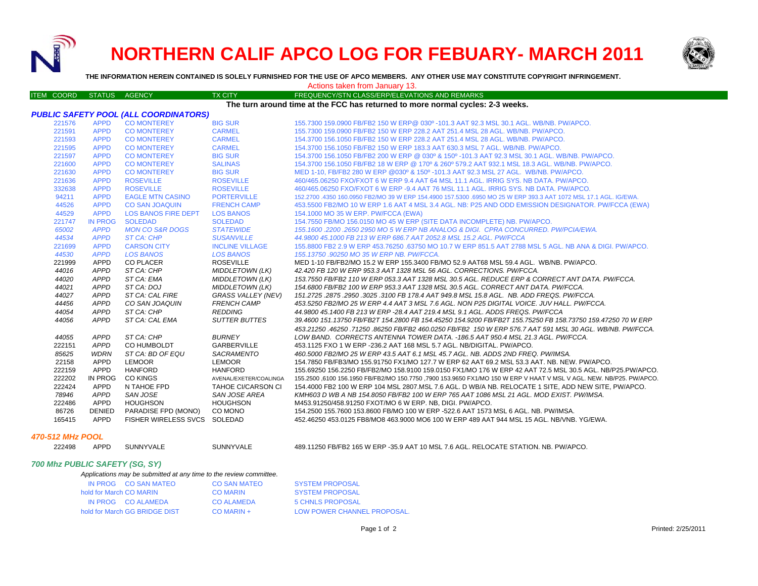

# **NORTHERN CALIF APCO LOG FOR FEBUARY- MARCH 2011**



**THE INFORMATION HEREIN CONTAINED IS SOLELY FURNISHED FOR THE USE OF APCO MEMBERS. ANY OTHER USE MAY CONSTITUTE COPYRIGHT INFRINGEMENT.**

|  |  | Actions taken from Januarv 13. |  |
|--|--|--------------------------------|--|
|--|--|--------------------------------|--|

| <b>ITEM COORD</b>                            | STATUS AGENCY       |                                | <b>TX CITY</b>                             | FREQUENCY/STN CLASS/ERP/ELEVATIONS AND REMARKS                                                                                                                                                 |  |
|----------------------------------------------|---------------------|--------------------------------|--------------------------------------------|------------------------------------------------------------------------------------------------------------------------------------------------------------------------------------------------|--|
|                                              |                     |                                |                                            | The turn around time at the FCC has returned to more normal cycles: 2-3 weeks.                                                                                                                 |  |
| <b>PUBLIC SAFETY POOL (ALL COORDINATORS)</b> |                     |                                |                                            |                                                                                                                                                                                                |  |
| 221576                                       | <b>APPD</b>         | <b>CO MONTEREY</b>             | <b>BIG SUR</b>                             | 155.7300 159.0900 FB/FB2 150 W ERP@ 030º -101.3 AAT 92.3 MSL 30.1 AGL, WB/NB, PW/APCO,                                                                                                         |  |
| 221591                                       | <b>APPD</b>         | <b>CO MONTEREY</b>             | <b>CARMEL</b>                              | 155.7300 159.0900 FB/FB2 150 W ERP 228.2 AAT 251.4 MSL 28 AGL, WB/NB, PW/APCO,                                                                                                                 |  |
| 221593                                       | <b>APPD</b>         | <b>CO MONTEREY</b>             | <b>CARMEL</b>                              | 154.3700 156.1050 FB/FB2 150 W ERP 228.2 AAT 251.4 MSL 28 AGL, WB/NB, PW/APCO,                                                                                                                 |  |
| 221595                                       | <b>APPD</b>         | <b>CO MONTEREY</b>             | <b>CARMEL</b>                              | 154.3700 156.1050 FB/FB2 150 W ERP 183.3 AAT 630.3 MSL 7 AGL, WB/NB, PW/APCO,                                                                                                                  |  |
| 221597                                       | <b>APPD</b>         | <b>CO MONTEREY</b>             | <b>BIG SUR</b>                             | 154.3700 156.1050 FB/FB2 200 W ERP @ 030° & 150° -101.3 AAT 92.3 MSL 30.1 AGL. WB/NB. PW/APCO.                                                                                                 |  |
| 221600                                       | <b>APPD</b>         | <b>CO MONTEREY</b>             | <b>SALINAS</b>                             | 154.3700 156.1050 FB/FB2 18 W ERP @ 170° & 260° 579.2 AAT 932.1 MSL 18.3 AGL. WB/NB. PW/APCO.                                                                                                  |  |
| 221630                                       | <b>APPD</b>         | <b>CO MONTEREY</b>             | <b>BIG SUR</b>                             | MED 1-10, FB/FB2 280 W ERP @030° & 150° -101.3 AAT 92.3 MSL 27 AGL. WB/NB, PW/APCO,                                                                                                            |  |
| 221636                                       | <b>APPD</b>         | <b>ROSEVILLE</b>               | <b>ROSEVILLE</b>                           | 460/465.06250 FXO/FXOT 6 W ERP 9.4 AAT 64 MSL 11.1 AGL, IRRIG SYS, NB DATA, PW/APCO,                                                                                                           |  |
| 332638                                       | <b>APPD</b>         | <b>ROSEVILLE</b>               | <b>ROSEVILLE</b>                           | 460/465.06250 FXO/FXOT 6 W ERP -9.4 AAT 76 MSL 11.1 AGL. IRRIG SYS. NB DATA. PW/APCO.                                                                                                          |  |
| 94211                                        | <b>APPD</b>         | <b>EAGLE MTN CASINO</b>        | <b>PORTERVILLE</b>                         | 152,2700 .4350 160,0950 FB2/MO 39 W ERP 154,4900 157,5300 .6950 MO 25 W ERP 393.3 AAT 1072 MSL 17.1 AGL, IG/EWA.                                                                               |  |
| 44526                                        | <b>APPD</b>         | <b>CO SAN JOAQUIN</b>          | <b>FRENCH CAMP</b>                         | 453,5500 FB2/MO 10 W ERP 1.6 AAT 4 MSL 3.4 AGL. NB: P25 AND ODD EMISSION DESIGNATOR, PW/FCCA (EWA)                                                                                             |  |
| 44529                                        | <b>APPD</b>         | <b>LOS BANOS FIRE DEPT</b>     | <b>LOS BANOS</b>                           | 154.1000 MO 35 W ERP. PW/FCCA (EWA)                                                                                                                                                            |  |
| 221747                                       | IN PROG             | <b>SOLEDAD</b>                 | <b>SOLEDAD</b>                             | 154.7550 FB/MO 156.0150 MO 45 W ERP (SITE DATA INCOMPLETE) NB. PW/APCO.                                                                                                                        |  |
| 65002                                        | <b>APPD</b>         | <b>MON CO S&amp;R DOGS</b>     | <b>STATEWIDE</b>                           | 155.1600.2200.2650 2950 MO 5 W ERP NB ANALOG & DIGI. CPRA CONCURRED. PW/PCIA/EWA.                                                                                                              |  |
| 44534                                        | <b>APPD</b>         | <b>ST CA: CHP</b>              | <b>SUSANVILLE</b>                          | 44.9800 45.1000 FB 213 W ERP 686.7 AAT 2052.8 MSL 15.2 AGL, PW/FCCA                                                                                                                            |  |
| 221699                                       | <b>APPD</b>         | <b>CARSON CITY</b>             | <b>INCLINE VILLAGE</b>                     | 155.8800 FB2 2.9 W ERP 453.76250 .63750 MO 10.7 W ERP 851.5 AAT 2788 MSL 5 AGL. NB ANA & DIGI. PW/APCO.                                                                                        |  |
| 44530                                        | <b>APPD</b>         | <b>LOS BANOS</b>               | <b>LOS BANOS</b>                           | 155.13750.90250 MO 35 W ERP NB. PW/FCCA.                                                                                                                                                       |  |
| 221999                                       | APPD                | <b>CO PLACER</b>               | <b>ROSEVILLE</b>                           | MED 1-10 FB/FB2/MO 15.2 W ERP 155.3400 FB/MO 52.9 AAT68 MSL 59.4 AGL. WB/NB, PW/APCO,                                                                                                          |  |
| 44016                                        | APPD                | ST CA: CHP                     | <b>MIDDLETOWN (LK)</b>                     | 42.420 FB 120 W ERP 953.3 AAT 1328 MSL 56 AGL, CORRECTIONS, PW/FCCA.                                                                                                                           |  |
| 44020                                        | <b>APPD</b>         | ST CA: EMA                     | <b>MIDDLETOWN (LK)</b>                     | 153.7550 FB/FB2 110 W ERP 053.3 AAT 1328 MSL 30.5 AGL. REDUCE ERP & CORRECT ANT DATA. PW/FCCA.                                                                                                 |  |
| 44021                                        | APPD                | ST CA: DOJ                     | <b>MIDDLETOWN (LK)</b>                     | 154.6800 FB/FB2 100 W ERP 953.3 AAT 1328 MSL 30.5 AGL. CORRECT ANT DATA. PW/FCCA.                                                                                                              |  |
| 44027                                        | APPD                | ST CA: CAL FIRE                | <b>GRASS VALLEY (NEV)</b>                  | 151.2725.2875.2950.3025.3100 FB 178.4 AAT 949.8 MSL 15.8 AGL. NB. ADD FREQS. PW/FCCA.                                                                                                          |  |
| 44456                                        | <b>APPD</b>         | CO SAN JOAQUIN                 | <b>FRENCH CAMP</b>                         | 453.5250 FB2/MO 25 W ERP 4.4 AAT 3 MSL 7.6 AGL. NON P25 DIGITAL VOICE. JUV HALL. PW/FCCA.                                                                                                      |  |
| 44054                                        | APPD                | ST CA: CHP                     | <b>REDDING</b>                             | 44.9800 45.1400 FB 213 W ERP -28.4 AAT 219.4 MSL 9.1 AGL. ADDS FREQS. PW/FCCA                                                                                                                  |  |
| 44056                                        | APPD                | ST CA: CAL EMA                 | <b>SUTTER BUTTES</b>                       | 39.4600 151.13750 FB/FB2T 154.2800 FB 154.45250 154.9200 FB/FB2T 155.75250 FB 158.73750 159.47250 70 W ERP                                                                                     |  |
|                                              |                     |                                |                                            | 453.21250.46250.71250.86250 FB/FB2 460.0250 FB/FB2 150 W ERP 576.7 AAT 591 MSL 30 AGL. WB/NB. PW/FCCA.                                                                                         |  |
| 44055                                        | <b>APPD</b>         | ST CA: CHP                     | <b>BURNEY</b>                              | LOW BAND. CORRECTS ANTENNA TOWER DATA. -186.5 AAT 950.4 MSL 21.3 AGL. PW/FCCA.                                                                                                                 |  |
| 222151                                       | APPD                | CO HUMBOLDT                    | <b>GARBERVILLE</b>                         | 453.1125 FXO 1 W ERP -236.2 AAT 168 MSL 5.7 AGL, NB/DIGITAL, PW/APCO.                                                                                                                          |  |
| 85625                                        | <b>WDRN</b>         | ST CA: BD OF EQU               | SACRAMENTO                                 | 460.5000 FB2/MO 25 W ERP 43.5 AAT 6.1 MSL 45.7 AGL. NB. ADDS 2ND FREQ. PW/IMSA.                                                                                                                |  |
| 22158                                        | APPD                | LEMOOR                         | <b>LEMOOR</b>                              | 154.7850 FB/FB3/MO 155.91750 FX1/MO 127.7 W ERP 62 AAT 69.2 MSL 53.3 AAT. NB. NEW. PW/APCO.                                                                                                    |  |
| 222159                                       | APPD                | <b>HANFORD</b>                 | <b>HANFORD</b>                             | 155.69250 156.2250 FB/FB2/MO 158.9100 159.0150 FX1/MO 176 W ERP 42 AAT 72.5 MSL 30.5 AGL. NB/P25.PW/APCO.                                                                                      |  |
| 222202                                       | IN PROG             | <b>CO KINGS</b>                | AVENAL/EXETER/COALINGA                     | 155,2500 .6100 156,1950 FB/FB2/MO 150,7750 .7900 153,9650 FX1/MO 150 W ERP V HAAT V MSL V AGL. NEW, NB/P25, PW/APCO,                                                                           |  |
| 222424<br>78946                              | APPD<br><b>APPD</b> | N TAHOE FPD<br><b>SAN JOSE</b> | <b>TAHOE CI/CARSON CI</b><br>SAN JOSE AREA | 154.4000 FB2 100 W ERP 104 MSL 2807 MSL 7.6 AGL. D WB/A NB. RELOCATE 1 SITE, ADD NEW SITE, PW/APCO.<br>KMH603 D WB A NB 154.8050 FB/FB2 100 W ERP 765 AAT 1086 MSL 21 AGL. MOD EXIST. PW/IMSA. |  |
| 222486                                       | APPD                | <b>HOUGHSON</b>                | <b>HOUGHSON</b>                            | M453.91250/458.91250 FXOT/MO 6 W ERP. NB, DIGI. PW/APCO.                                                                                                                                       |  |
| 86726                                        | DENIED              | PARADISE FPD (MONO)            | CO MONO                                    | 154.2500 155.7600 153.8600 FB/MO 100 W ERP -522.6 AAT 1573 MSL 6 AGL. NB. PW/IMSA.                                                                                                             |  |
| 165415                                       | APPD                | FISHER WIRELESS SVCS SOLEDAD   |                                            | 452.46250 453.0125 FB8/MO8 463.9000 MO6 100 W ERP 489 AAT 944 MSL 15 AGL, NB/VNB, YG/EWA,                                                                                                      |  |
|                                              |                     |                                |                                            |                                                                                                                                                                                                |  |
|                                              |                     |                                |                                            |                                                                                                                                                                                                |  |

## *470-512 MHz POOL*

| 22498 | APPD | <b>SUNNY</b> |
|-------|------|--------------|
|       |      |              |

APPD SUNNYVALE SUNNYVALE 489.11250 FB/FB2 165 W ERP -35.9 AAT 10 MSL 7.6 AGL. RELOCATE STATION. NB. PW/APCO.

## *700 Mhz PUBLIC SAFETY (SG, SY)*

| Applications may be submitted at any time to the review committee. |  |
|--------------------------------------------------------------------|--|
|--------------------------------------------------------------------|--|

| IN PROG CO SAN MATEO          | CO SAN MATEO | <b>SYSTEM PROPOSAL</b>      |
|-------------------------------|--------------|-----------------------------|
| hold for March CO MARIN       | CO MARIN     | <b>SYSTEM PROPOSAL</b>      |
| IN PROG CO ALAMEDA            | CO ALAMEDA   | 5 CHNLS PROPOSAL            |
| hold for March GG BRIDGE DIST | $CO$ MARIN + | LOW POWER CHANNEL PROPOSAL. |